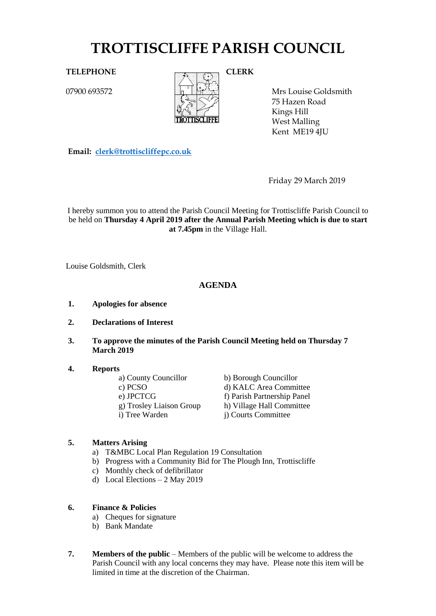# **TROTTISCLIFFE PARISH COUNCIL**

07900 693572



Mrs Louise Goldsmith 75 Hazen Road Kings Hill West Malling Kent ME19 4JU

**Email: [clerk@trottiscliffepc.co.uk](mailto:clerk@trottiscliffepc.co.uk)**

Friday 29 March 2019

I hereby summon you to attend the Parish Council Meeting for Trottiscliffe Parish Council to be held on **Thursday 4 April 2019 after the Annual Parish Meeting which is due to start at 7.45pm** in the Village Hall.

Louise Goldsmith, Clerk

# **AGENDA**

- **1. Apologies for absence**
- **2. Declarations of Interest**
- **3. To approve the minutes of the Parish Council Meeting held on Thursday 7 March 2019**

# **4. Reports**

| a) County Councillor     | b) Borough Councillor       |
|--------------------------|-----------------------------|
| c) PCSO                  | d) KALC Area Committee      |
| e) JPCTCG                | f) Parish Partnership Panel |
| g) Trosley Liaison Group | h) Village Hall Committee   |
| i) Tree Warden           | i) Courts Committee         |

# **5. Matters Arising**

- a) T&MBC Local Plan Regulation 19 Consultation
- b) Progress with a Community Bid for The Plough Inn, Trottiscliffe
- c) Monthly check of defibrillator
- d) Local Elections 2 May 2019

# **6. Finance & Policies**

- a) Cheques for signature
- b) Bank Mandate
- **7. Members of the public** Members of the public will be welcome to address the Parish Council with any local concerns they may have. Please note this item will be limited in time at the discretion of the Chairman.